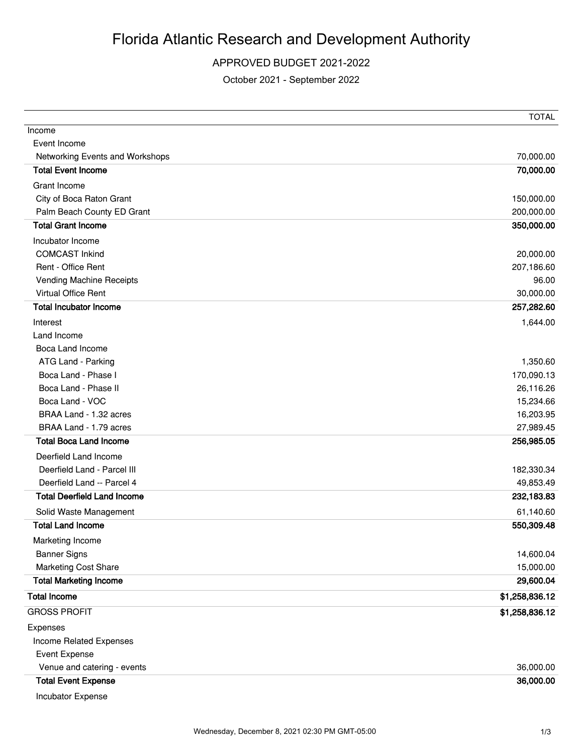## APPROVED BUDGET 2021-2022

October 2021 - September 2022

|                                    | <b>TOTAL</b>   |
|------------------------------------|----------------|
| Income                             |                |
| Event Income                       |                |
| Networking Events and Workshops    | 70,000.00      |
| <b>Total Event Income</b>          | 70,000.00      |
| Grant Income                       |                |
| City of Boca Raton Grant           | 150,000.00     |
| Palm Beach County ED Grant         | 200,000.00     |
| <b>Total Grant Income</b>          | 350,000.00     |
| Incubator Income                   |                |
| <b>COMCAST Inkind</b>              | 20,000.00      |
| Rent - Office Rent                 | 207,186.60     |
| Vending Machine Receipts           | 96.00          |
| Virtual Office Rent                | 30,000.00      |
| <b>Total Incubator Income</b>      | 257,282.60     |
| Interest                           | 1,644.00       |
| Land Income                        |                |
| Boca Land Income                   |                |
| ATG Land - Parking                 | 1,350.60       |
| Boca Land - Phase I                | 170,090.13     |
| Boca Land - Phase II               | 26,116.26      |
| Boca Land - VOC                    | 15,234.66      |
| BRAA Land - 1.32 acres             | 16,203.95      |
| BRAA Land - 1.79 acres             | 27,989.45      |
| <b>Total Boca Land Income</b>      | 256,985.05     |
| Deerfield Land Income              |                |
| Deerfield Land - Parcel III        | 182,330.34     |
| Deerfield Land -- Parcel 4         | 49,853.49      |
| <b>Total Deerfield Land Income</b> | 232,183.83     |
| Solid Waste Management             | 61,140.60      |
| <b>Total Land Income</b>           | 550,309.48     |
| Marketing Income                   |                |
| <b>Banner Signs</b>                | 14,600.04      |
| Marketing Cost Share               | 15,000.00      |
| <b>Total Marketing Income</b>      | 29,600.04      |
| <b>Total Income</b>                | \$1,258,836.12 |
| <b>GROSS PROFIT</b>                | \$1,258,836.12 |
| Expenses                           |                |
| Income Related Expenses            |                |
| <b>Event Expense</b>               |                |
| Venue and catering - events        | 36,000.00      |
| <b>Total Event Expense</b>         | 36,000.00      |
| Incubator Expense                  |                |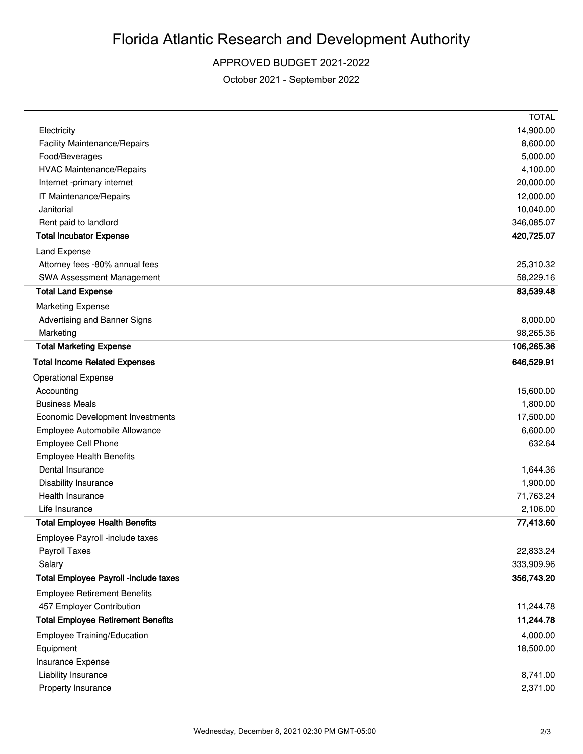## APPROVED BUDGET 2021-2022

October 2021 - September 2022

|                                           | <b>TOTAL</b> |
|-------------------------------------------|--------------|
| Electricity                               | 14,900.00    |
| <b>Facility Maintenance/Repairs</b>       | 8,600.00     |
| Food/Beverages                            | 5,000.00     |
| <b>HVAC Maintenance/Repairs</b>           | 4,100.00     |
| Internet -primary internet                | 20,000.00    |
| IT Maintenance/Repairs                    | 12,000.00    |
| Janitorial                                | 10,040.00    |
| Rent paid to landlord                     | 346,085.07   |
| <b>Total Incubator Expense</b>            | 420,725.07   |
| Land Expense                              |              |
| Attorney fees -80% annual fees            | 25,310.32    |
| SWA Assessment Management                 | 58,229.16    |
| <b>Total Land Expense</b>                 | 83,539.48    |
| <b>Marketing Expense</b>                  |              |
| Advertising and Banner Signs              | 8,000.00     |
| Marketing                                 | 98,265.36    |
| <b>Total Marketing Expense</b>            | 106,265.36   |
| <b>Total Income Related Expenses</b>      | 646,529.91   |
| <b>Operational Expense</b>                |              |
| Accounting                                | 15,600.00    |
| <b>Business Meals</b>                     | 1,800.00     |
| Economic Development Investments          | 17,500.00    |
| Employee Automobile Allowance             | 6,600.00     |
| <b>Employee Cell Phone</b>                | 632.64       |
| <b>Employee Health Benefits</b>           |              |
| Dental Insurance                          | 1,644.36     |
| Disability Insurance                      | 1,900.00     |
| Health Insurance                          | 71,763.24    |
| Life Insurance                            | 2,106.00     |
| <b>Total Employee Health Benefits</b>     | 77,413.60    |
| Employee Payroll -include taxes           |              |
| Payroll Taxes                             | 22,833.24    |
| Salary                                    | 333,909.96   |
| Total Employee Payroll -include taxes     | 356,743.20   |
| <b>Employee Retirement Benefits</b>       |              |
| 457 Employer Contribution                 | 11,244.78    |
| <b>Total Employee Retirement Benefits</b> | 11,244.78    |
| Employee Training/Education               | 4,000.00     |
| Equipment                                 | 18,500.00    |
| Insurance Expense                         |              |
| Liability Insurance                       | 8,741.00     |
| Property Insurance                        | 2,371.00     |
|                                           |              |